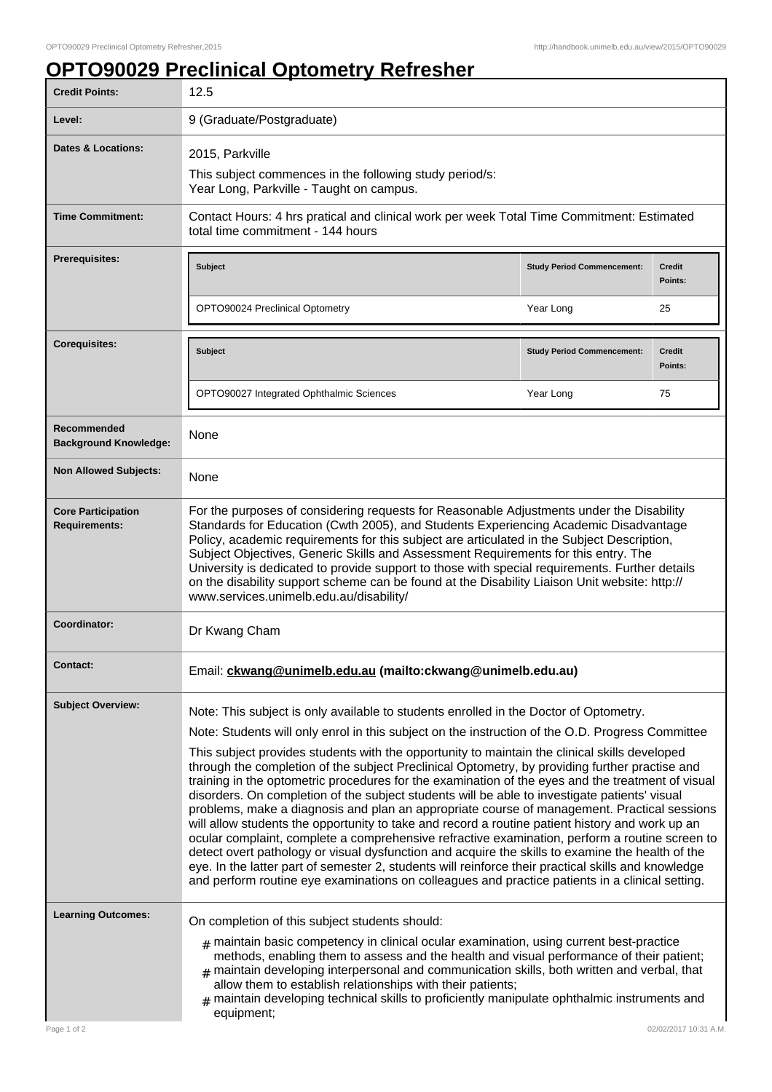## **OPTO90029 Preclinical Optometry Refresher**

| <b>Credit Points:</b>                             | 12.5                                                                                                                                                                                                                                                                                                                                                                                                                                                                                                                                                                                                                                                                                                                                                                                                                                                                                                                                                                                                                                                                                                                                                                                                                 |                                   |                          |
|---------------------------------------------------|----------------------------------------------------------------------------------------------------------------------------------------------------------------------------------------------------------------------------------------------------------------------------------------------------------------------------------------------------------------------------------------------------------------------------------------------------------------------------------------------------------------------------------------------------------------------------------------------------------------------------------------------------------------------------------------------------------------------------------------------------------------------------------------------------------------------------------------------------------------------------------------------------------------------------------------------------------------------------------------------------------------------------------------------------------------------------------------------------------------------------------------------------------------------------------------------------------------------|-----------------------------------|--------------------------|
| Level:                                            | 9 (Graduate/Postgraduate)                                                                                                                                                                                                                                                                                                                                                                                                                                                                                                                                                                                                                                                                                                                                                                                                                                                                                                                                                                                                                                                                                                                                                                                            |                                   |                          |
| Dates & Locations:                                | 2015, Parkville                                                                                                                                                                                                                                                                                                                                                                                                                                                                                                                                                                                                                                                                                                                                                                                                                                                                                                                                                                                                                                                                                                                                                                                                      |                                   |                          |
|                                                   | This subject commences in the following study period/s:<br>Year Long, Parkville - Taught on campus.                                                                                                                                                                                                                                                                                                                                                                                                                                                                                                                                                                                                                                                                                                                                                                                                                                                                                                                                                                                                                                                                                                                  |                                   |                          |
| <b>Time Commitment:</b>                           | Contact Hours: 4 hrs pratical and clinical work per week Total Time Commitment: Estimated<br>total time commitment - 144 hours                                                                                                                                                                                                                                                                                                                                                                                                                                                                                                                                                                                                                                                                                                                                                                                                                                                                                                                                                                                                                                                                                       |                                   |                          |
| Prerequisites:                                    | <b>Subject</b>                                                                                                                                                                                                                                                                                                                                                                                                                                                                                                                                                                                                                                                                                                                                                                                                                                                                                                                                                                                                                                                                                                                                                                                                       | <b>Study Period Commencement:</b> | <b>Credit</b><br>Points: |
|                                                   | OPTO90024 Preclinical Optometry                                                                                                                                                                                                                                                                                                                                                                                                                                                                                                                                                                                                                                                                                                                                                                                                                                                                                                                                                                                                                                                                                                                                                                                      | Year Long                         | 25                       |
| <b>Corequisites:</b>                              | Subject                                                                                                                                                                                                                                                                                                                                                                                                                                                                                                                                                                                                                                                                                                                                                                                                                                                                                                                                                                                                                                                                                                                                                                                                              | <b>Study Period Commencement:</b> | <b>Credit</b><br>Points: |
|                                                   | OPTO90027 Integrated Ophthalmic Sciences                                                                                                                                                                                                                                                                                                                                                                                                                                                                                                                                                                                                                                                                                                                                                                                                                                                                                                                                                                                                                                                                                                                                                                             | Year Long                         | 75                       |
| Recommended<br><b>Background Knowledge:</b>       | None                                                                                                                                                                                                                                                                                                                                                                                                                                                                                                                                                                                                                                                                                                                                                                                                                                                                                                                                                                                                                                                                                                                                                                                                                 |                                   |                          |
| <b>Non Allowed Subjects:</b>                      | None                                                                                                                                                                                                                                                                                                                                                                                                                                                                                                                                                                                                                                                                                                                                                                                                                                                                                                                                                                                                                                                                                                                                                                                                                 |                                   |                          |
| <b>Core Participation</b><br><b>Requirements:</b> | For the purposes of considering requests for Reasonable Adjustments under the Disability<br>Standards for Education (Cwth 2005), and Students Experiencing Academic Disadvantage<br>Policy, academic requirements for this subject are articulated in the Subject Description,<br>Subject Objectives, Generic Skills and Assessment Requirements for this entry. The<br>University is dedicated to provide support to those with special requirements. Further details<br>on the disability support scheme can be found at the Disability Liaison Unit website: http://<br>www.services.unimelb.edu.au/disability/                                                                                                                                                                                                                                                                                                                                                                                                                                                                                                                                                                                                   |                                   |                          |
| Coordinator:                                      | Dr Kwang Cham                                                                                                                                                                                                                                                                                                                                                                                                                                                                                                                                                                                                                                                                                                                                                                                                                                                                                                                                                                                                                                                                                                                                                                                                        |                                   |                          |
| Contact:                                          | Email: ckwang@unimelb.edu.au (mailto:ckwang@unimelb.edu.au)                                                                                                                                                                                                                                                                                                                                                                                                                                                                                                                                                                                                                                                                                                                                                                                                                                                                                                                                                                                                                                                                                                                                                          |                                   |                          |
| <b>Subject Overview:</b>                          | Note: This subject is only available to students enrolled in the Doctor of Optometry.<br>Note: Students will only enrol in this subject on the instruction of the O.D. Progress Committee<br>This subject provides students with the opportunity to maintain the clinical skills developed<br>through the completion of the subject Preclinical Optometry, by providing further practise and<br>training in the optometric procedures for the examination of the eyes and the treatment of visual<br>disorders. On completion of the subject students will be able to investigate patients' visual<br>problems, make a diagnosis and plan an appropriate course of management. Practical sessions<br>will allow students the opportunity to take and record a routine patient history and work up an<br>ocular complaint, complete a comprehensive refractive examination, perform a routine screen to<br>detect overt pathology or visual dysfunction and acquire the skills to examine the health of the<br>eye. In the latter part of semester 2, students will reinforce their practical skills and knowledge<br>and perform routine eye examinations on colleagues and practice patients in a clinical setting. |                                   |                          |
| <b>Learning Outcomes:</b>                         | On completion of this subject students should:<br>$_{\#}$ maintain basic competency in clinical ocular examination, using current best-practice<br>methods, enabling them to assess and the health and visual performance of their patient;<br>$_{\#}$ maintain developing interpersonal and communication skills, both written and verbal, that<br>allow them to establish relationships with their patients;<br>$_{\#}$ maintain developing technical skills to proficiently manipulate ophthalmic instruments and<br>equipment;                                                                                                                                                                                                                                                                                                                                                                                                                                                                                                                                                                                                                                                                                   |                                   |                          |